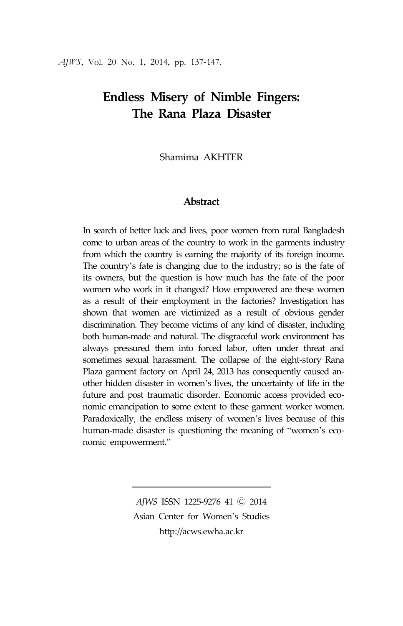# **Endless Misery of Nimble Fingers: The Rana Plaza Disaster**

Shamima AKHTER

#### **Abstract**

In search of better luck and lives, poor women from rural Bangladesh come to urban areas of the country to work in the garments industry from which the country is earning the majority of its foreign income. The country's fate is changing due to the industry; so is the fate of its owners, but the question is how much has the fate of the poor women who work in it changed? How empowered are these women as a result of their employment in the factories? Investigation has shown that women are victimized as a result of obvious gender discrimination. They become victims of any kind of disaster, including both human-made and natural. The disgraceful work environment has always pressured them into forced labor, often under threat and sometimes sexual harassment. The collapse of the eight-story Rana Plaza garment factory on April 24, 2013 has consequently caused an other hidden disaster in women's lives, the uncertainty of life in the future and post traumatic disorder. Economic access provided eco nomic emancipation to some extent to these garment worker women. Paradoxically, the endless misery of women's lives because of this human-made disaster is questioning the meaning of "women's eco nomic empowerment."

> *AJWS* ISSN 1225-9276 41 Ⓒ 2014 Asian Center for Women's Studies http://acws.ewha.ac.kr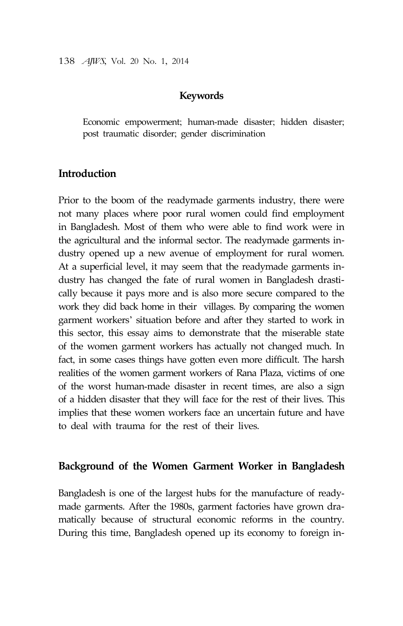# **Keywords**

Economic empowerment; human-made disaster; hidden disaster; post traumatic disorder; gender discrimination

### **Introduction**

Prior to the boom of the readymade garments industry, there were not many places where poor rural women could find employment in Bangladesh. Most of them who were able to find work were in the agricultural and the informal sector. The readymade garments in dustry opened up a new avenue of employment for rural women. At a superficial level, it may seem that the readymade garments in dustry has changed the fate of rural women in Bangladesh drasti cally because it pays more and is also more secure compared to the work they did back home in their villages. By comparing the women garment workers' situation before and after they started to work in this sector, this essay aims to demonstrate that the miserable state of the women garment workers has actually not changed much. In fact, in some cases things have gotten even more difficult. The harsh realities of the women garment workers of Rana Plaza, victims of one of the worst human-made disaster in recent times, are also a sign of a hidden disaster that they will face for the rest of their lives. This implies that these women workers face an uncertain future and have to deal with trauma for the rest of their lives.

#### **Background of the Women Garment Worker in Bangladesh**

Bangladesh is one of the largest hubs for the manufacture of ready made garments. After the 1980s, garment factories have grown dra matically because of structural economic reforms in the country. During this time, Bangladesh opened up its economy to foreign in-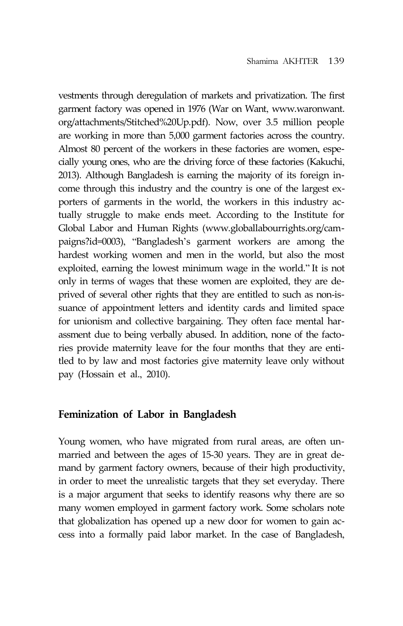vestments through deregulation of markets and privatization. The first garment factory was opened in 1976 (War on Want, www.waronwant. org/attachments/Stitched%20Up.pdf). Now, over 3.5 million people are working in more than 5,000 garment factories across the country. Almost 80 percent of the workers in these factories are women, espe cially young ones, who are the driving force of these factories (Kakuchi, 2013). Although Bangladesh is earning the majority of its foreign in come through this industry and the country is one of the largest ex porters of garments in the world, the workers in this industry actually struggle to make ends meet. According to the Institute for Global Labor and Human Rights (www.globallabourrights.org/cam paigns?id=0003), "Bangladesh's garment workers are among the hardest working women and men in the world, but also the most exploited, earning the lowest minimum wage in the world." It is not only in terms of wages that these women are exploited, they are de prived of several other rights that they are entitled to such as non-is suance of appointment letters and identity cards and limited space for unionism and collective bargaining. They often face mental har assment due to being verbally abused. In addition, none of the facto ries provide maternity leave for the four months that they are entitled to by law and most factories give maternity leave only without pay (Hossain et al., 2010).

### **Feminization of Labor in Bangladesh**

Young women, who have migrated from rural areas, are often un married and between the ages of 15-30 years. They are in great de mand by garment factory owners, because of their high productivity, in order to meet the unrealistic targets that they set everyday. There is a major argument that seeks to identify reasons why there are so many women employed in garment factory work. Some scholars note that globalization has opened up a new door for women to gain ac cess into a formally paid labor market. In the case of Bangladesh,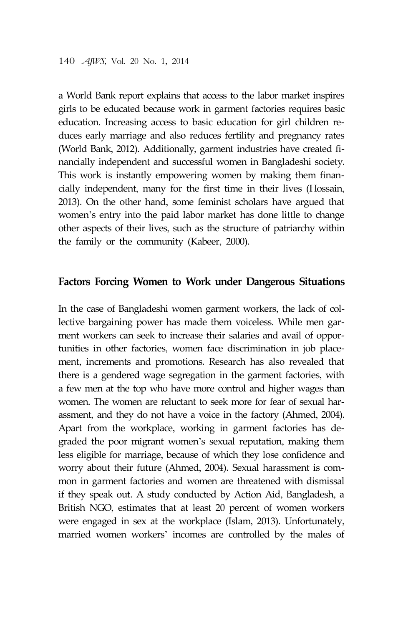a World Bank report explains that access to the labor market inspires girls to be educated because work in garment factories requires basic education. Increasing access to basic education for girl children re duces early marriage and also reduces fertility and pregnancy rates (World Bank, 2012). Additionally, garment industries have created fi nancially independent and successful women in Bangladeshi society. This work is instantly empowering women by making them finan cially independent, many for the first time in their lives (Hossain, 2013). On the other hand, some feminist scholars have argued that women's entry into the paid labor market has done little to change other aspects of their lives, such as the structure of patriarchy within the family or the community (Kabeer, 2000).

#### **Factors Forcing Women to Work under Dangerous Situations**

In the case of Bangladeshi women garment workers, the lack of collective bargaining power has made them voiceless. While men gar ment workers can seek to increase their salaries and avail of opportunities in other factories, women face discrimination in job place ment, increments and promotions. Research has also revealed that there is a gendered wage segregation in the garment factories, with a few men at the top who have more control and higher wages than women. The women are reluctant to seek more for fear of sexual har assment, and they do not have a voice in the factory (Ahmed, 2004). Apart from the workplace, working in garment factories has de graded the poor migrant women's sexual reputation, making them less eligible for marriage, because of which they lose confidence and worry about their future (Ahmed, 2004). Sexual harassment is com mon in garment factories and women are threatened with dismissal if they speak out. A study conducted by Action Aid, Bangladesh, a British NGO, estimates that at least 20 percent of women workers were engaged in sex at the workplace (Islam, 2013). Unfortunately, married women workers' incomes are controlled by the males of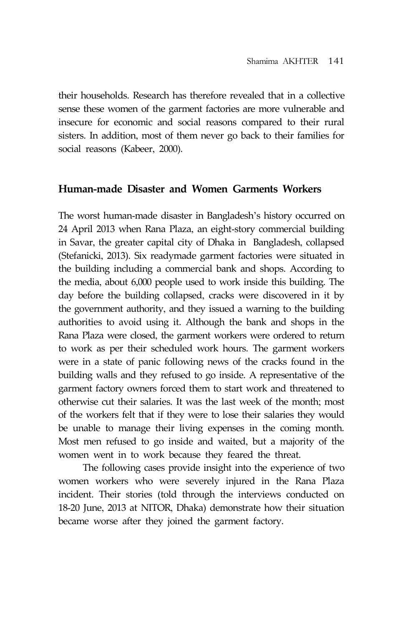their households. Research has therefore revealed that in a collective sense these women of the garment factories are more vulnerable and insecure for economic and social reasons compared to their rural sisters. In addition, most of them never go back to their families for social reasons (Kabeer, 2000).

### **Human-made Disaster and Women Garments Workers**

The worst human-made disaster in Bangladesh's history occurred on 24 April 2013 when Rana Plaza, an eight-story commercial building in Savar, the greater capital city of Dhaka in Bangladesh, collapsed (Stefanicki, 2013). Six readymade garment factories were situated in the building including a commercial bank and shops. According to the media, about 6,000 people used to work inside this building. The day before the building collapsed, cracks were discovered in it by the government authority, and they issued a warning to the building authorities to avoid using it. Although the bank and shops in the Rana Plaza were closed, the garment workers were ordered to return to work as per their scheduled work hours. The garment workers were in a state of panic following news of the cracks found in the building walls and they refused to go inside. A representative of the garment factory owners forced them to start work and threatened to otherwise cut their salaries. It was the last week of the month; most of the workers felt that if they were to lose their salaries they would be unable to manage their living expenses in the coming month. Most men refused to go inside and waited, but a majority of the women went in to work because they feared the threat.

The following cases provide insight into the experience of two women workers who were severely injured in the Rana Plaza incident. Their stories (told through the interviews conducted on 18-20 June, 2013 at NITOR, Dhaka) demonstrate how their situation became worse after they joined the garment factory.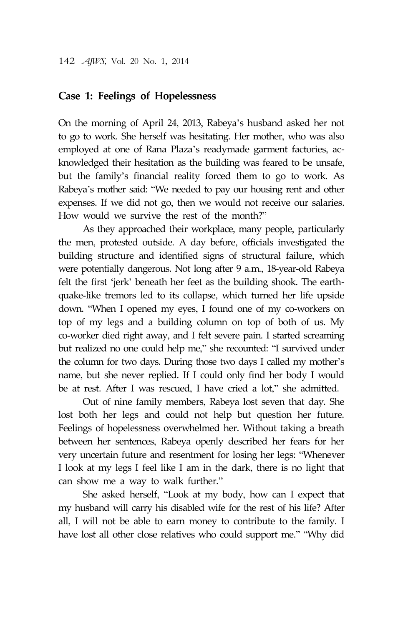# **Case 1: Feelings of Hopelessness**

On the morning of April 24, 2013, Rabeya's husband asked her not to go to work. She herself was hesitating. Her mother, who was also employed at one of Rana Plaza's readymade garment factories, ac knowledged their hesitation as the building was feared to be unsafe, but the family's financial reality forced them to go to work. As Rabeya's mother said: "We needed to pay our housing rent and other expenses. If we did not go, then we would not receive our salaries. How would we survive the rest of the month?"

As they approached their workplace, many people, particularly the men, protested outside. A day before, officials investigated the building structure and identified signs of structural failure, which were potentially dangerous. Not long after 9 a.m., 18-year-old Rabeya felt the first 'jerk' beneath her feet as the building shook. The earth quake-like tremors led to its collapse, which turned her life upside down. "When I opened my eyes, I found one of my co-workers on top of my legs and a building column on top of both of us. My co-worker died right away, and I felt severe pain. I started screaming but realized no one could help me," she recounted: "I survived under the column for two days. During those two days I called my mother's name, but she never replied. If I could only find her body I would be at rest. After I was rescued, I have cried a lot," she admitted.

Out of nine family members, Rabeya lost seven that day. She lost both her legs and could not help but question her future. Feelings of hopelessness overwhelmed her. Without taking a breath between her sentences, Rabeya openly described her fears for her very uncertain future and resentment for losing her legs: "Whenever I look at my legs I feel like I am in the dark, there is no light that can show me a way to walk further."

She asked herself, "Look at my body, how can I expect that my husband will carry his disabled wife for the rest of his life? After all, I will not be able to earn money to contribute to the family. I have lost all other close relatives who could support me." "Why did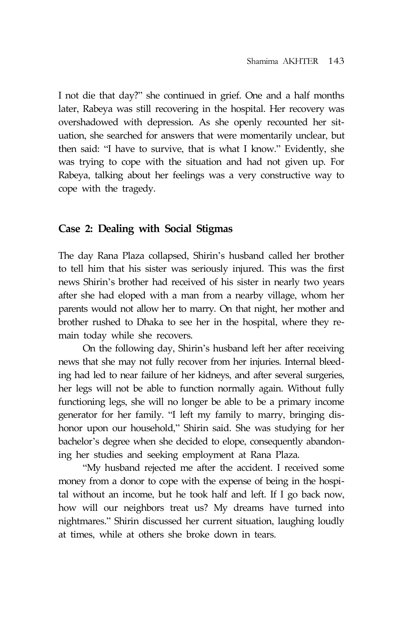I not die that day?" she continued in grief. One and a half months later, Rabeya was still recovering in the hospital. Her recovery was overshadowed with depression. As she openly recounted her sit uation, she searched for answers that were momentarily unclear, but then said: "I have to survive, that is what I know." Evidently, she was trying to cope with the situation and had not given up. For Rabeya, talking about her feelings was a very constructive way to cope with the tragedy.

### **Case 2: Dealing with Social Stigmas**

The day Rana Plaza collapsed, Shirin's husband called her brother to tell him that his sister was seriously injured. This was the first news Shirin's brother had received of his sister in nearly two years after she had eloped with a man from a nearby village, whom her parents would not allow her to marry. On that night, her mother and brother rushed to Dhaka to see her in the hospital, where they re main today while she recovers.

On the following day, Shirin's husband left her after receiving news that she may not fully recover from her injuries. Internal bleeding had led to near failure of her kidneys, and after several surgeries, her legs will not be able to function normally again. Without fully functioning legs, she will no longer be able to be a primary income generator for her family. "I left my family to marry, bringing dis honor upon our household," Shirin said. She was studying for her bachelor's degree when she decided to elope, consequently abandoning her studies and seeking employment at Rana Plaza.

"My husband rejected me after the accident. I received some money from a donor to cope with the expense of being in the hospital without an income, but he took half and left. If I go back now, how will our neighbors treat us? My dreams have turned into nightmares." Shirin discussed her current situation, laughing loudly at times, while at others she broke down in tears.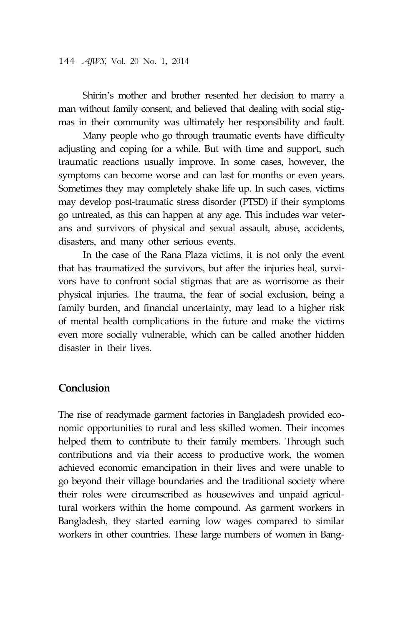Shirin's mother and brother resented her decision to marry a man without family consent, and believed that dealing with social stig mas in their community was ultimately her responsibility and fault.

Many people who go through traumatic events have difficulty adjusting and coping for a while. But with time and support, such traumatic reactions usually improve. In some cases, however, the symptoms can become worse and can last for months or even years. Sometimes they may completely shake life up. In such cases, victims may develop post-traumatic stress disorder (PTSD) if their symptoms go untreated, as this can happen at any age. This includes war veter ans and survivors of physical and sexual assault, abuse, accidents, disasters, and many other serious events.

In the case of the Rana Plaza victims, it is not only the event that has traumatized the survivors, but after the injuries heal, survi vors have to confront social stigmas that are as worrisome as their physical injuries. The trauma, the fear of social exclusion, being a family burden, and financial uncertainty, may lead to a higher risk of mental health complications in the future and make the victims even more socially vulnerable, which can be called another hidden disaster in their lives.

#### **Conclusion**

The rise of readymade garment factories in Bangladesh provided eco nomic opportunities to rural and less skilled women. Their incomes helped them to contribute to their family members. Through such contributions and via their access to productive work, the women achieved economic emancipation in their lives and were unable to go beyond their village boundaries and the traditional society where their roles were circumscribed as housewives and unpaid agricultural workers within the home compound. As garment workers in Bangladesh, they started earning low wages compared to similar workers in other countries. These large numbers of women in Bang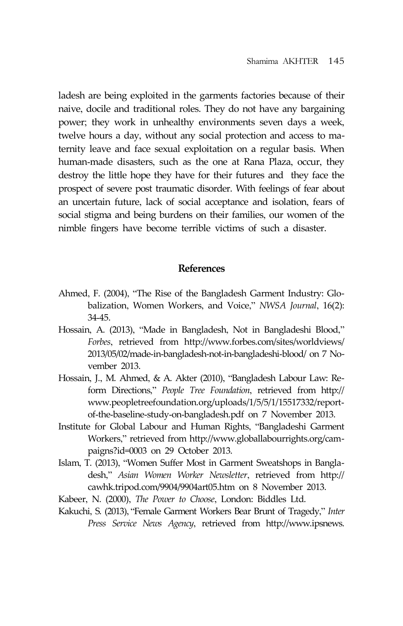ladesh are being exploited in the garments factories because of their naive, docile and traditional roles. They do not have any bargaining power; they work in unhealthy environments seven days a week, twelve hours a day, without any social protection and access to maternity leave and face sexual exploitation on a regular basis. When human-made disasters, such as the one at Rana Plaza, occur, they destroy the little hope they have for their futures and they face the prospect of severe post traumatic disorder. With feelings of fear about an uncertain future, lack of social acceptance and isolation, fears of social stigma and being burdens on their families, our women of the nimble fingers have become terrible victims of such a disaster.

#### **References**

- Ahmed, F. (2004), "The Rise of the Bangladesh Garment Industry: Glo balization, Women Workers, and Voice," *NWSA Journal*, 16(2): 34-45.
- Hossain, A. (2013), "Made in Bangladesh, Not in Bangladeshi Blood," *Forbes*, retrieved from http://www.forbes.com/sites/worldviews/ 2013/05/02/made-in-bangladesh-not-in-bangladeshi-blood/ on 7 No vember 2013. Hossain, J., M. Ahmed, & A. Akter (2010), "Bangladesh Labour Law: Re-
- form Directions," *People Tree Foundation*, retrieved from http:// www.peopletreefoundation.org/uploads/1/5/5/1/15517332/report of-the-baseline-study-on-bangladesh.pdf on 7 November 2013.
- Institute for Global Labour and Human Rights, "Bangladeshi Garment Workers," retrieved from http://www.globallabourrights.org/cam paigns?id=0003 on 29 October 2013.
- Islam, T. (2013), "Women Suffer Most in Garment Sweatshops in Bangla desh," *Asian Women Worker Newsletter*, retrieved from http:// cawhk.tripod.com/9904/9904art05.htm on 8 November 2013.
- Kabeer, N. (2000), *The Power to Choose*, London: Biddles Ltd.
- Kakuchi, S. (2013), "Female Garment Workers Bear Brunt of Tragedy," *Inter Press Service News Agency*, retrieved from http://www.ipsnews.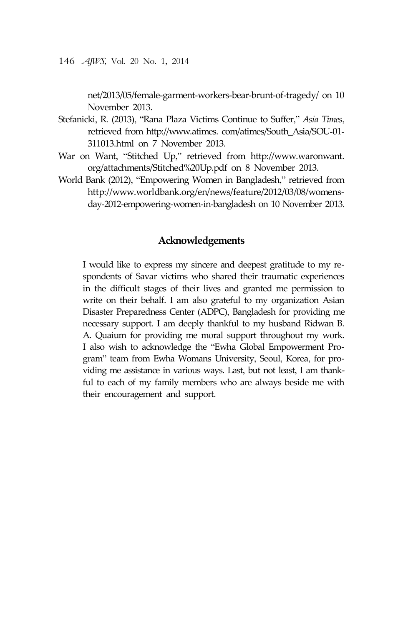net/2013/05/female-garment-workers-bear-brunt-of-tragedy/ on 10 November 2013.

- Stefanicki, R. (2013), "Rana Plaza Victims Continue to Suffer," *Asia Times*, retrieved from http://www.atimes. com/atimes/South\_Asia/SOU-01- 311013.html on 7 November 2013.
- War on Want, "Stitched Up," retrieved from http://www.waronwant. org/attachments/Stitched%20Up.pdf on 8 November 2013.
- World Bank (2012), "Empowering Women in Bangladesh," retrieved from http://www.worldbank.org/en/news/feature/2012/03/08/womens day-2012-empowering-women-in-bangladesh on 10 November 2013.

#### **Acknowledgements**

I would like to express my sincere and deepest gratitude to my re spondents of Savar victims who shared their traumatic experiences in the difficult stages of their lives and granted me permission to write on their behalf. I am also grateful to my organization Asian Disaster Preparedness Center (ADPC), Bangladesh for providing me necessary support. I am deeply thankful to my husband Ridwan B. A. Quaium for providing me moral support throughout my work. I also wish to acknowledge the "Ewha Global Empowerment Pro gram" team from Ewha Womans University, Seoul, Korea, for pro viding me assistance in various ways. Last, but not least, I am thankful to each of my family members who are always beside me with their encouragement and support.